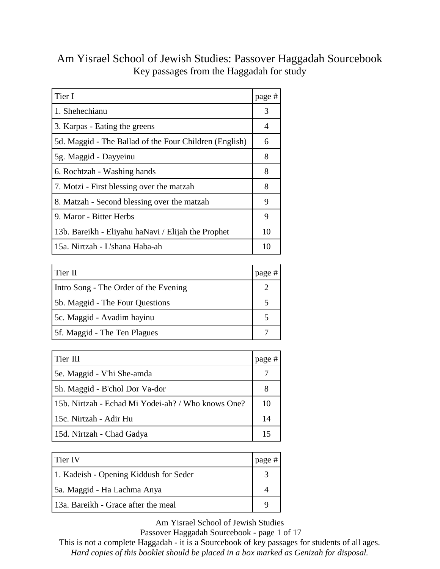| Tier I                                                 | page # |
|--------------------------------------------------------|--------|
| 1. Shehechianu                                         | 3      |
| 3. Karpas - Eating the greens                          | 4      |
| 5d. Maggid - The Ballad of the Four Children (English) | 6      |
| 5g. Maggid - Dayyeinu                                  | 8      |
| 6. Rochtzah - Washing hands                            | 8      |
| 7. Motzi - First blessing over the matzah              | 8      |
| 8. Matzah - Second blessing over the matzah            | 9      |
| 9. Maror - Bitter Herbs                                | 9      |
| 13b. Bareikh - Eliyahu haNavi / Elijah the Prophet     | 10     |
| 15a. Nirtzah - L'shana Haba-ah                         | 10     |

#### Am Yisrael School of Jewish Studies: Passover Haggadah Sourcebook Key passages from the Haggadah for study

| Tier II                               | page # |
|---------------------------------------|--------|
| Intro Song - The Order of the Evening |        |
| 5b. Maggid - The Four Questions       |        |
| 5c. Maggid - Avadim hayinu            |        |
| 5f. Maggid - The Ten Plagues          |        |
|                                       |        |

| Tier III                                           | page # |
|----------------------------------------------------|--------|
| 5e. Maggid - V'hi She-amda                         |        |
| 5h. Maggid - B'chol Dor Va-dor                     | 8      |
| 15b. Nirtzah - Echad Mi Yodei-ah? / Who knows One? | 10     |
| 15c. Nirtzah - Adir Hu                             | 14     |
| 15d. Nirtzah - Chad Gadya                          | 15     |

| Tier IV                                | page # |
|----------------------------------------|--------|
| 1. Kadeish - Opening Kiddush for Seder |        |
| 5a. Maggid - Ha Lachma Anya            |        |
| 13a. Bareikh - Grace after the meal    |        |

Am Yisrael School of Jewish Studies

Passover Haggadah Sourcebook - page 1 of 17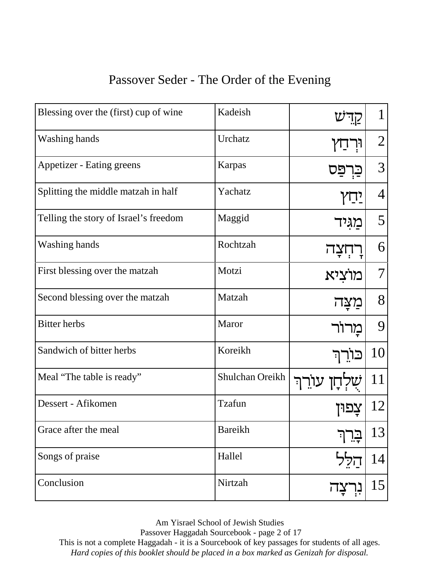#### Passover Seder - The Order of the Evening

| Blessing over the (first) cup of wine | Kadeish         |             |                |
|---------------------------------------|-----------------|-------------|----------------|
| <b>Washing hands</b>                  | Urchatz         |             | $\overline{2}$ |
| <b>Appetizer - Eating greens</b>      | Karpas          | פס          | 3              |
| Splitting the middle matzah in half   | Yachatz         | $\sqrt{12}$ | 4              |
| Telling the story of Israel's freedom | Maggid          | מגיד        | 5              |
| Washing hands                         | Rochtzah        |             | 6              |
| First blessing over the matzah        | Motzi           | מוציא       | 7              |
| Second blessing over the matzah       | Matzah          | מצה         | 8              |
| <b>Bitter</b> herbs                   | Maror           | מרור        | 9              |
| Sandwich of bitter herbs              | Koreikh         | כּוֹרֶךְ    | 10             |
| Meal "The table is ready"             | Shulchan Oreikh | עורר        | 11             |
| Dessert - Afikomen                    | Tzafun          |             | 12             |
| Grace after the meal                  | Bareikh         |             | 13             |
| Songs of praise                       | Hallel          | הלל         | 14             |
| Conclusion                            | Nirtzah         | נִוְ        | 15             |

Am Yisrael School of Jewish Studies

Passover Haggadah Sourcebook - page 2 of 17

This is not a complete Haggadah - it is a Sourcebook of key passages for students of all ages.

*Hard copies of this booklet should be placed in a box marked as Genizah for disposal.*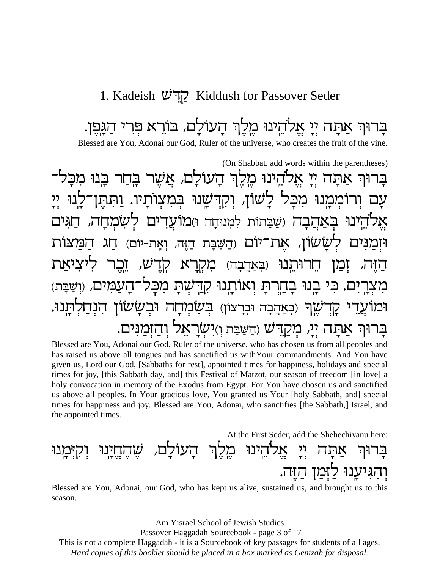#### 1. Kadeish D'קְדָישׁ Kiddush for Passover Seder

בַרוּךְ אַתַה יִי אֱלֹהֵינוּ מֵלֵךְ הַעוֹלַם, בּוֹרֵא פִרִי הַגַּפֵן. Blessed are You, Adonai our God, Ruler of the universe, who creates the fruit of the vine.

(On Shabbat, add words within the parentheses) אַתָה יִי אֵלֹהֵינוּ מֵלֵךְ הָעוֹלָם, אֲשֶׁר בֵּחַר בֵּנוּ מִכָּל־ ורוממנו מכל לשון, וקדשנו במצותיו. ותתו בִאַהֲבָה (שַׁבָּתוֹת לִמְנוּחַה וּ)מוֹעַד ולב**ר** שמחה, ֿים' שׂשׂוֹן, את־יוֹם (הַשַּׁבַּת הַזֶּה, וְאֶת-יוֹם) חַג מקרא ש, (באהבה) ויתנו בַחֲרִתַּ וְאוֹתֵנוּ קַדַּשִׁתַּ מִכַּל־ העמים, וושבת) בנו <u>고그</u> שֵׁךְ (בִּאַהֲבָה וּבִרַצוֹן) בִּשְׂמַחַה וּבִשַׂשׂוֹן בָרוּךְ אַתָה יִיָ, מִקַדִּשׁ וִהַשַּׁבָּת וְזִישְׂרָאֵל וְהַזִּמַנִּים.

Blessed are You, Adonai our God, Ruler of the universe, who has chosen us from all peoples and has raised us above all tongues and has sanctified us with Your commandments. And You have given us, Lord our God, [Sabbaths for rest], appointed times for happiness, holidays and special times for joy, [this Sabbath day, and] this Festival of Matzot, our season of freedom [in love] a holy convocation in memory of the Exodus from Egypt. For You have chosen us and sanctified us above all peoples. In Your gracious love, You granted us Your [holy Sabbath, and] special times for happiness and joy. Blessed are You, Adonai, who sanctifies [the Sabbath,] Israel, and the appointed times.

At the First Seder, add the Shehechiyanu here:

#### אֵלהֵינוּ מֵלֵךְ הַעוֹלַם, לל<br>די והגיענוּ ל זכלד

Blessed are You, Adonai, our God, who has kept us alive, sustained us, and brought us to this season.

Am Yisrael School of Jewish Studies

Passover Haggadah Sourcebook - page 3 of 17

This is not a complete Haggadah - it is a Sourcebook of key passages for students of all ages.

Hard copies of this booklet should be placed in a box marked as Genizah for disposal.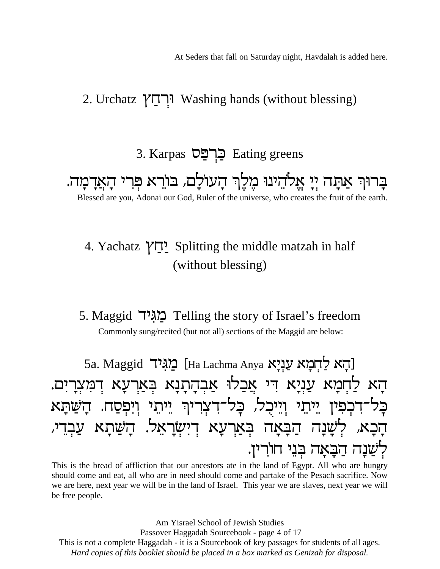At Seders that fall on Saturday night, Havdalah is added here.

#### 2. Urchatz יְרְחַץ Washing hands (without blessing)

#### 3. Karpas כֵּרְפַּס Eating greens

בָרוּךְ אַתָה יִיָ אֵלֹהֵינוּ מֵלֵךְ הָעוֹלָם, בּוֹרֵא פִרִי הָאֲדָמָה. Blessed are you, Adonai our God, Ruler of the universe, who creates the fruit of the earth.

#### 4. Yachatz יְחֵץ Splitting the middle matzah in half (without blessing)

#### 5. Maggid באגיד Telling the story of Israel's freedom Commonly sung/recited (but not all) sections of the Maggid are below:

5a. Maggid מגיד [Ha Lachma Anya עֲנָיָא האו] הַא לַחִמַא עַנִיַא דִּי אֲכַלוּ אַבְהָתָנָא בְּאַרְעָא דְמִצְרָיִם. בַּל־דִּכְפִין יֵיתֵוּ וְיֵיכָל, כָל־דִצְרִיךְ יֵיתֵוּ וְיִפְסַח. הָשַׁתָּא הָכָא, לְשָׁנָה הַבָּאָה בִּאַרְעָא דִישְׂרָאֵל. הָשַׁתָא עַבְדִי, לְשַׁנַה הַבַּאַה בִּנֵי חוֹרִין.

This is the bread of affliction that our ancestors ate in the land of Egypt. All who are hungry should come and eat, all who are in need should come and partake of the Pesach sacrifice. Now we are here, next year we will be in the land of Israel. This year we are slaves, next year we will be free people.

Am Yisrael School of Jewish Studies Passover Haggadah Sourcebook - page 4 of 17 This is not a complete Haggadah - it is a Sourcebook of key passages for students of all ages. Hard copies of this booklet should be placed in a box marked as Genizah for disposal.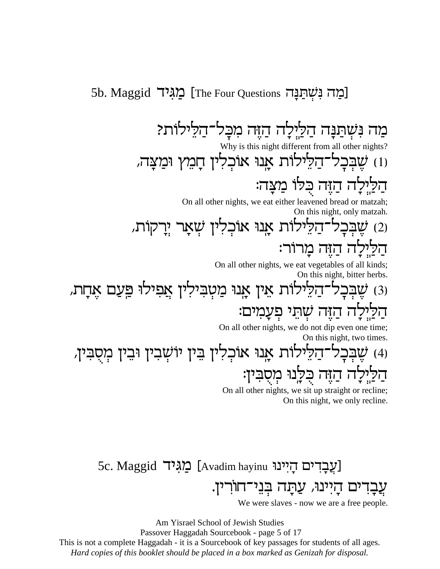#### 5b. Maggid רְמַה נִשְׁתַנַּה] [The Four Questions מַגִּיד

מַה נִּשְׁתַנָּה הַלֵּיְלָה הַזֶּה מִכָּל־הַלִּילוֹת? Why is this night different from all other nights? ו) שֶׁבְּכָל־הַלֵּילוֹת אֲנוּ אוֹכְלִין חָמֵץ וּמַצָּה, הַלַּיְלָה הַזֶּה כִּלוֹ מַצָּה: On all other nights, we eat either leavened bread or matzah; On this night, only matzah. (2) שֶׁבְּכָל־דַלֵּילוֹת אֲנוּ אוֹכְלִין שְׁאָר יְרָקוֹת, הַלַיִּלָה הַזֶּה מָרוֹר: On all other nights, we eat vegetables of all kinds;

On this night, bitter herbs.

ו3) שֶׁבְּכָל־הַלֵּילוֹת אֵין אָנוּ מַטְבִּילִין אֲפִילוּ פַּעַם אֶחָת, הַלַּיְלָה הַזֶּה שְׁתֵּי פְעָמִים:

On all other nights, we do not dip even one time; On this night, two times.

(4) שֶׁבְּכָל־הַלֵּילוֹת אָנוּ אוֹכְלִין בִּין יוֹשְׁבִין וּבִין מְסָבִּין, <u>הַלַיְ</u>לָה הַזֶּה כִּלְנוּ מְסָבִין:

On all other nights, we sit up straight or recline; On this night, we only recline.

5c. Maggid [עֲבֻדים הַיִּינוּ] [Avadim hayinu מַגִּים עֲבָדים הָיִינוּ, עַתָּה בְּנֵי־חוֹרִי<mark>ן</mark>.

We were slaves - now we are a free people.

Am Yisrael School of Jewish Studies Passover Haggadah Sourcebook - page 5 of 17 This is not a complete Haggadah - it is a Sourcebook of key passages for students of all ages. *Hard copies of this booklet should be placed in a box marked as Genizah for disposal.*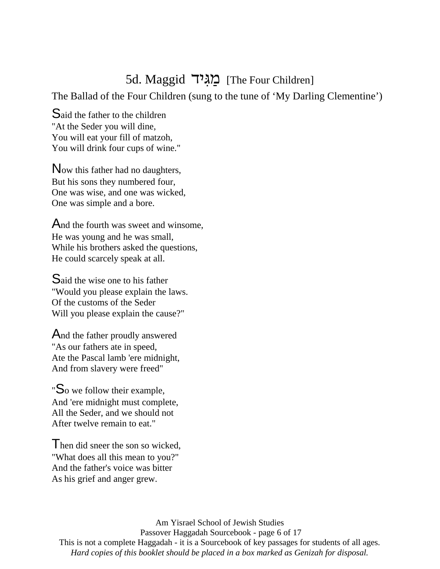#### 5d. Maggid <u>מגיד</u> [The Four Children]

The Ballad of the Four Children (sung to the tune of 'My Darling Clementine')

Said the father to the children "At the Seder you will dine, You will eat your fill of matzoh, You will drink four cups of wine."

Now this father had no daughters, But his sons they numbered four, One was wise, and one was wicked, One was simple and a bore.

And the fourth was sweet and winsome, He was young and he was small, While his brothers asked the questions, He could scarcely speak at all.

Said the wise one to his father "Would you please explain the laws. Of the customs of the Seder Will you please explain the cause?"

And the father proudly answered "As our fathers ate in speed, Ate the Pascal lamb 'ere midnight, And from slavery were freed"

"So we follow their example, And 'ere midnight must complete, All the Seder, and we should not After twelve remain to eat."

I hen did sneer the son so wicked, "What does all this mean to you?" And the father's voice was bitter As his grief and anger grew.

Am Yisrael School of Jewish Studies Passover Haggadah Sourcebook - page 6 of 17 This is not a complete Haggadah - it is a Sourcebook of key passages for students of all ages. *Hard copies of this booklet should be placed in a box marked as Genizah for disposal.*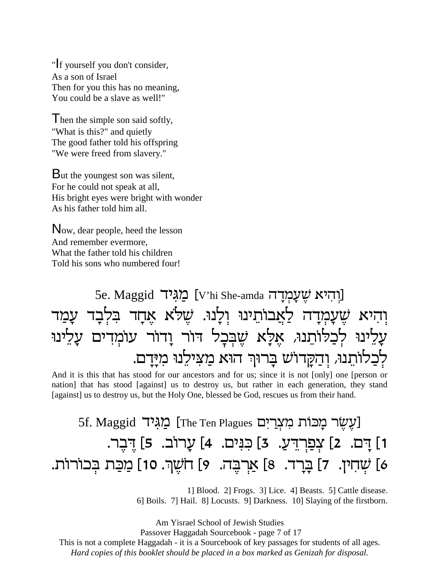"If yourself you don't consider, As a son of Israel Then for you this has no meaning, You could be a slave as well!"

Then the simple son said softly, "What is this?" and quietly The good father told his offspring "We were freed from slavery."

But the youngest son was silent, For he could not speak at all, His bright eyes were bright with wonder As his father told him all.

Now, dear people, heed the lesson And remember evermore, What the father told his children Told his sons who numbered four!

### 5e. Maggid [יִהְיא שֵׁעֲמְדַה] [V'hi She-amda [יִחְיא ֿוְהיא שֶׁעָמְדָה לַאֲבוֹתֵינוּ וְלָנוּ. שֶׁלֹּא אֶחָד בִּלְבָד עָמַד עָלִינוּ לְכַלוֹתֵנוּ, אֶלָא שֶׁבְּכָל דור וָדוֹר עוֹמְדים עָלִינוּ לְכַלוֹתֵנוּ, וְדַקָּדוֹשׁ בָּרוּךְ הוּא מַצִילִנוּ מִיָּדָם.

And it is this that has stood for our ancestors and for us; since it is not [only] one [person or nation] that has stood [against] us to destroy us, but rather in each generation, they stand [against] us to destroy us, but the Holy One, blessed be God, rescues us from their hand.

### 5f. Maggid [עֵשׂר כִּוּכוֹת מִצְרַיִם [The Ten Plagues עֲגָי 1] דָם. 2] צְפַרְדֵעַ. 3] כִּנִּים. 4] עָרוֹב. 5] דֶבֶר. 6] שְׁחִין. 7] בָּרָד. 8] אַרְבָּה. 9] חֹשֶׁךָּ. 10] מַכַּת בְּכוֹרוֹת.

1] Blood. 2] Frogs. 3] Lice. 4] Beasts. 5] Cattle disease. 6] Boils. 7] Hail. 8] Locusts. 9] Darkness. 10] Slaying of the firstborn.

Am Yisrael School of Jewish Studies Passover Haggadah Sourcebook - page 7 of 17 This is not a complete Haggadah - it is a Sourcebook of key passages for students of all ages. *Hard copies of this booklet should be placed in a box marked as Genizah for disposal.*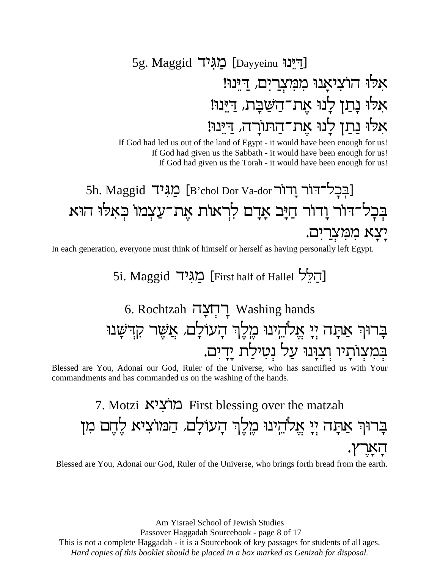### 5g. Maggid רִינוּ [Dayyeinu] אלו הוציאָנוּ ממִצְרַיִם*,* דַיִּנוּ! אלו נָתַן לְנוּ אֶת־הַשַּׁבָּת, <u>דִּי</u>ִּנוּ! אלו נַתַן לָנוּ אֶת־הַתּורָה*,* דַיִּנוּ!

If God had led us out of the land of Egypt - it would have been enough for us! If God had given us the Sabbath - it would have been enough for us! If God had given us the Torah - it would have been enough for us!

## 5h. Maggid רַבְּבְל־דוֹר וַדוֹר [Bʾchol Dor Va-dor עַגיד] בְּבָל־דור וָדור חַיָּב אָדָם לִרְאוֹת אֶת־עַצְמוֹ כְּאלוּ הוּא יִצָא מִמְ<mark>ּעְר</mark>ִיִם.

In each generation, everyone must think of himself or herself as having personally left Egypt.

5i. Maggid  $\Xi$ הלל [First half of Hallel  $\Xi$ 

### 6. Rochtzah רְחְצָה Washing hands בָרוּךְ אַתָה יְיָ אֱלֹהֵינוּ מֶלֶךְ הָעוֹלָם, אֲשֶׁר קִדְשָׁנוּ בְּמִצְוֹתָיו וְצִנְּנוּ עַל נְטִילַת יָדָיִם.

Blessed are You, Adonai our God, Ruler of the Universe, who has sanctified us with Your commandments and has commanded us on the washing of the hands.

### 7. Motzi מוציא First blessing over the matzah בָרוּךְ אַתָה יְיָ אֱלֹהֵינוּ מֶלֶךְ הָעוֹלָם, הַמוֹצִיא לֶחֶם מִן .<br>דִיאָרץ

Blessed are You, Adonai our God, Ruler of the Universe, who brings forth bread from the earth.

Am Yisrael School of Jewish Studies

Passover Haggadah Sourcebook - page 8 of 17

This is not a complete Haggadah - it is a Sourcebook of key passages for students of all ages.

*Hard copies of this booklet should be placed in a box marked as Genizah for disposal.*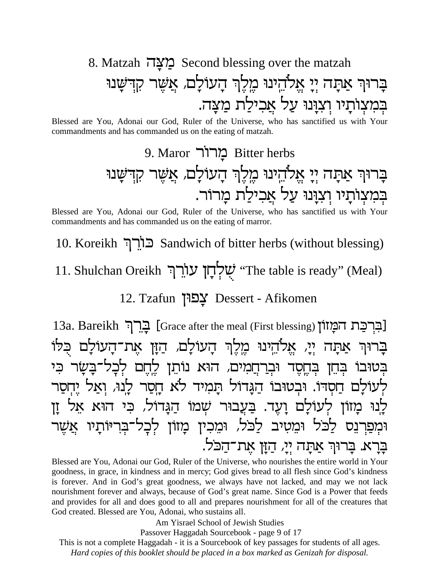### 8. Matzah מצה Second blessing over the matzah בַרוּךְ אַתַה יִי אֱלֹהֵינוּ מֵלֵךְ הַעוֹלַם, אֲשֶׁר קִדְשַׁנוּ בִּמְצְוֹתָיו וְצְוָּנוּ עַל אֲכִילַת מַצַּה.

Blessed are You, Adonai our God, Ruler of the Universe, who has sanctified us with Your commandments and has commanded us on the eating of matzah.

Blessed are You, Adonai our God, Ruler of the Universe, who has sanctified us with Your commandments and has commanded us on the eating of marror.

10. Koreikh כורך Sandwich of bitter herbs (without blessing)

11. Shulchan Oreikh שַׁלְחָן עוֹרֵךְ "The table is ready" (Meal)

12. Tzafun צַפוּן Dessert - Afikomen

13a. Bareikh בֵרֵך [Grace after the meal (First blessing)] בֵר בַרוּךְ אַתָה יִיַ, אֱלֹהֵינוּ מֵלֵךְ הָעוֹלָם, הַזָּן אֲת־הָעוֹלָם כִּלוֹ בְּטוּבוֹ בְּחֵן בְּחֶסֶד וּבְרַחֲמִים, הוּא נוֹתֵן לֵחֵם לִכָל־בָשָׂר כִּי לְעוֹלַם חַסְדוֹ. וּבְטוּבוֹ הַגַּדוֹל תַמִיד לֹא חַסֲר לָנוּ, וְאַל יִחְסַר לְנוּ מָזוֹן לְעוֹלָם וָעֶד. בַּעֲבוּר שְׁמוֹ הַגָּדוֹל, כִּי הוּא אֵל זַן וּמִפַרְנֵס לַכֹּל וּמֵטִיב לַכֹּל, וּמֵכִין מָזוֹן לִכָל־בִּרִיּוֹתָיו אֲשֶׁר בָרָא. בָרוּךְ אַתָה יְיָ, הַזָן אֶת־הַכֹּל.

Blessed are You, Adonai our God, Ruler of the Universe, who nourishes the entire world in Your goodness, in grace, in kindness and in mercy; God gives bread to all flesh since God's kindness is forever. And in God's great goodness, we always have not lacked, and may we not lack nourishment forever and always, because of God's great name. Since God is a Power that feeds and provides for all and does good to all and prepares nourishment for all of the creatures that God created. Blessed are You, Adonai, who sustains all.

Am Yisrael School of Jewish Studies

Passover Haggadah Sourcebook - page 9 of 17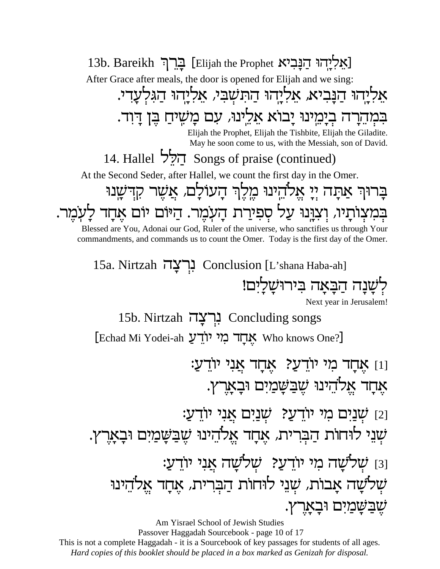13b. Bareikh 
<a>
Elijah the Prophet Kאליהוי הנביא After Grace after meals, the door is opened for Elijah and we sing: אַליהוּ הַנָּביא, אַליְהוּ הַתִּשְׁבִּי, אַליְהוּ הַגִּלְעָדי. בִּמְדֵרָה בְיָמֵינוּ יָבוֹא אֵלֵינוּ, עִם מָשִיחַ בֶּן דָוִד. Elijah the Prophet, Elijah the Tishbite, Elijah the Giladite. May he soon come to us, with the Messiah, son of David. 14. Hallel  $\overrightarrow{P}$  Songs of praise (continued) At the Second Seder, after Hallel, we count the first day in the Omer. בָרוּךְ אַתָה יְיָ אֱלֹהֵינוּ מֶלֶךְ הָעוֹלָם, אֲשֶׁר קִדְשָׁנוּ בְּמִצְוֹתָיוּ, וְצִנְּנוּ עַל סְפִירַת הָעְמֶר. הַיּּוֹם יוֹם אֶחָד לָעְמֶר. Blessed are You, Adonai our God, Ruler of the universe, who sanctifies us through Your commandments, and commands us to count the Omer. Today is the first day of the Omer. 15a. Nirtzah נְרְצָה Conclusion [L'shana Haba-ah] לְשָׁנָה הַבָּאָה בִּירוּשָׁלַיִּם! Next year in Jerusalem! 15b. Nirtzah נִרְצָה Concluding songs [Echad Mi Yodei-ah אֲחֲד מִי יוֹדֻעַ : $\mathbf{Y}$ וַן אָרָד מי יודעַ? אָחָד אֲנִי יודעַ אָחָד אֱלֹהֵינוּ שֶׁבַּשָּׁמַיִּם וּבָאָרֶץ. נַ $\,$ : שְׁנַיִּם מִי יוֹדֵעַ?  $\,$ שְׁנַיִּם אֲנִי יוֹדֵעַ ֿשְנֵי לוּחוֹת הַבְרִית, אֶחָד אֱלֹהֵינוּ שֶׁבַּשָּׁמַיִם וּבָאָרֶץ. נז שְׁלשָׁה מִי יוֹדֵעַ? שְׁלֹשָׁה אֲנִי יוֹדֵעַ: שְׁלֹשָה אָבוֹת, שְׁנֵי לוּחוֹת הַבְּרִית, אֶחָד אֱלֹהֵינוּ .שֶׁבַּשָּׁמַיִּם וּבָאָרֶץ

Am Yisrael School of Jewish Studies Passover Haggadah Sourcebook - page 10 of 17 This is not a complete Haggadah - it is a Sourcebook of key passages for students of all ages. *Hard copies of this booklet should be placed in a box marked as Genizah for disposal.*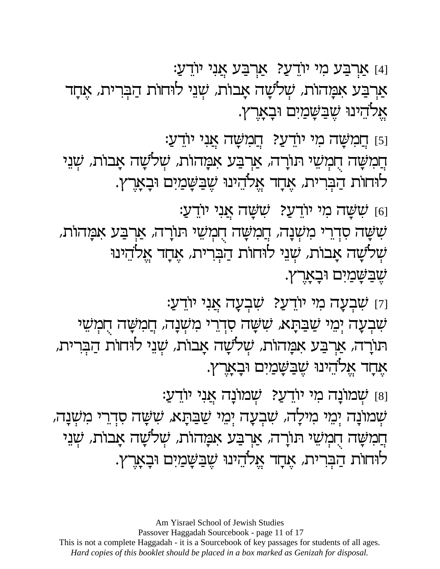ֿון דעָ (סן אַשָּׂה אַני יודען (נענע) ששָה סִדְרֵי מִשְׁנָה, חֲמִשָּׁה חֻמְשֵׁי תוֹרָה, אַרְבַּע אִמָּהוֹת, שְׁלֹשָה אָבוֹת, שְׁנֵי לוּחוֹת הַבְּרִית, אֶחָד אֱלֹהֵינוּ שֶׁבַשָּׂמַיִּם וּבְאָרֶץ. ּוַקַ שִׁבְעָה מִי יוֹדֵעַ? שִׁבְעָה אֲנִי יוֹדֵעַ: שִׁבְעָה יְמֵי שַׁבַּתָּא, שִׁשָּׁה סִדְרֵי מִשְׁנָה, חֲמִשָּׁה חִמְשֵׁי תּוֹרָה, אַרְבַּע אִמָּהוֹת, שְׁלֹשָה אָבוֹת, שְׁנֵי לוּחוֹת הַבְּרית, אָחָד אֱלֹהֵינוּ שֶׁבַּשֲמַיִּם וּבָאָרֶץ.

[8] שָׁמוֹנָה מִי יוֹדֵעַ? שְׁמוֹנָה אֲנִי יוֹדֵעַ:

ּוַפֿו דְוַמִשָּׁה מי יוֹדֵעַ? דְוַמִשָּׁה אֲנִי יוֹדֵעַ: הֲמִשָּׁה הֲמְשֵׁי תוֹרָה, אַרְבַע אַמָּהוֹת, שְׁלֹשָׁה אָבוֹת, שְׁנֵי לוּחוֹת הַבְּרית, אָחָד אֱלֹהֵינוּ שֶׁבַּשָּׁמַיִּם וּבָאָרֶץ.

[4] אַרְבַּע מִי יוֹדֵעַ? אַרְבַּע אֲנִי יוֹדֵעַ: אַרְבַּע אִמָּהוֹת, שְׁלֹשָׁה אָבוֹת, שְׁנֵי לוּחוֹת הַבְּרית, אָחָד אֲלהִינוּ שֶׁבַּשֲמַיִם וּבָאָרֶץ.

Am Yisrael School of Jewish Studies

שְׁמוֹנָה יְמֵי מִילָה, שִׁבְעָה יְמֵי שַׁבַּתָא, שִׁשָּׁה סִדְרֵי מִשְׁנָה,

הֲמִשָּׁה הֲמְשֵׁי תוֹרָה, אַרְבַע אַמָּהוֹת, שְׁלֹשָׁה אָבוֹת, שְׁנֵי

לוחות הַבְּרית, אֶחָד אֱלֹהֵינוּ שֶׁבַּשֲמַיִם וּבָאָרֶץ.

Passover Haggadah Sourcebook - page 11 of 17 This is not a complete Haggadah - it is a Sourcebook of key passages for students of all ages. Hard copies of this booklet should be placed in a box marked as Genizah for disposal.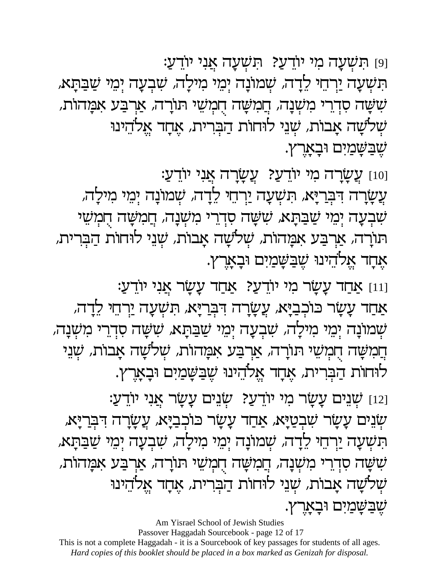ַפַּן תּשְׁעָה מי יודעַ? תּשְׁעָה אֲני יודע תִּשְׁעָה יַרְחֵי לֵדָה*, שְׁ*מוֹנָה יְמֵי מִילָה*, שִׁבְעָה יְמֵי שַׁבַּתָּא,* שִׁשָּׁה סִדְרֵי מִשְׁנָה, חֲמִשָּׁה חָמְשֵׁי תוֹרָה, אַרְבַע אמָהות, שְׁלֹשָה אָבוֹת, שְׁנֵי לוּחוֹת הַבְּרִית, אֶחֶד אֱלֹהֵינוּ ּשֶׁבַּשָּׂמַיִּם וּבָאָרֶץ.

ַנַטַן עֲשָׂרָה מִי יוֹדֵעַ? עֲשָׂרָה אֲנִי יוֹדֵעַ: עֲשָׂרָה דִּבְרַיָּא, תִשְׁעָה יַרְחֵי לֵדָה*, שְׁ*מוֹנָה יְמֵי מִילָה, שִׁבְעָה יְמֵי שַׁבַּתָּא, שִׁשָּׁה סִדְרֵי מִשְׁנָה, חֲמִשָּׁה חִמְשֵׁי תּוֹרָה, אַרְבַּע אִמָּהוֹת, שְׁלֹשָה אָבוֹת, שְׁנֵי לוּחוֹת הַבְּרית, אָחָד אֱלֹהִינוּ שֶׁבַּשָּׁמַיִּם וּבָאָרֶץ.

ַנוּוַ אַחַד עָשָׂר מי יודעַ? אַחַד עָשָׂר אֲנִי יוֹדֵעַ:

אַחַד עָשָׂר כּוֹכְבַיָּא, עֲשָׂרָה דִּבְרַיָּא, תִּשְׁעָה יַרְחֵי לֵדָה, שְׁמוֹנָה יְמֵי מִילָה, שִׁבְעָה יְמֵי שַׁבַּתָא, שִׁשָּׁה סִדְרֵי מִשְׁנָה, הֲמִשָּׁה הָמְשֵׁי תוֹרָה, אַרְבַע אִמָּהוֹת, שְׁלֹשָׁה אָבוֹת, שְׁנִי לוחות הַבְרית, אֶחָד אֱלֹהֵינוּ שֶׁבַּשָּׁמַיִם וּבָאָרֶץ.

ֿנַיִּם עָשָׂר מִי יוֹדֵעַ? שְׂנִים עָשָׂר אֲנִי יוֹדֵעַ: ַשְׂנֵים עָשָׂר שִׁבְטַיָּא, אַחַד עָשָׂר כּוֹכְבַיָּא, עֲשָׂרָה דִּבְרִיָּּא, תִּשְׁעָה יַרְחֵי לֵדָה, שְׁמוֹנָה יְמֵי מִילָה, שִׁבְעָה יְמֵי שַׁבַּתָּא, שִׁשָּׁה סִדְרֵי מִשְׁנָה, חֲמִשָּׁה חֻמְשֵׁי תוֹרָה, אַרְבַע אַמָּהוֹת, שְׁלשָה אָבוֹת, שְׁנֵי לוּחוֹת הַבְּרִית, אֶחֶד אֱלֹהֵינוּ ּשֶׁבַּשָּׁמַיִּם וּבְאָרֶץ.

Am Yisrael School of Jewish Studies Passover Haggadah Sourcebook - page 12 of 17 This is not a complete Haggadah - it is a Sourcebook of key passages for students of all ages. Hard copies of this booklet should be placed in a box marked as Genizah for disposal.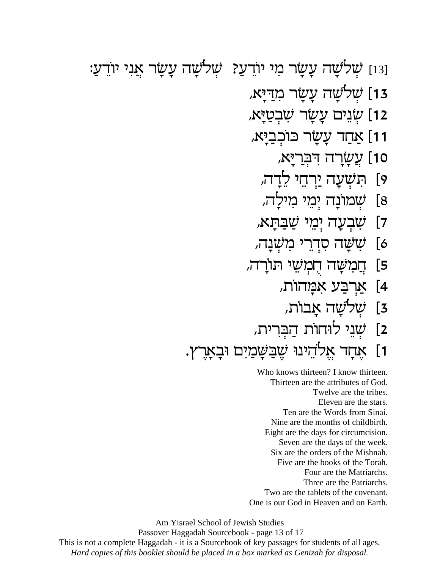נּוּ] שְׁלֹשָׁה עָשָׂר מִי יוֹדֵעַ? שְׁלֹשָׁה עָשָׂר אֲנִי יוֹדֵעַ: ,ַ13 שְׁלשָׁה עָשָׂר מִדַיִּא ,ַ שְׂנֵים עָשָׂר שַׁבְטַיָּא ,וַ זַּחַד עָשָׂר כּוֹכְבַיָּא ,ַן <mark>ְעֲשָׂרָה דִּבְר</mark>יָּא 9] תִשְׁעָה יַרְחֵי לֵדָה*,* 8] שְׁמוֹנָה יְמֵי מִילָה*,* ָבְעָה יְמֵי שַׁבַּתָּא*,*  $[7]$ )] שֹׁשָׂה סִדְרֵי מַשְׁנָה, חֲמִשָּׁה חֻמְשֵׁי תורָה, £ [5 ,**אַרְבַּע אַמָּהוֹת** ,ַזָּלשָׁה אָבוֹת <u>[</u>3 2] שְׁנֵי לוּחוֹת הַבְּרִית, ו] אָחָד אֱלֹהֵינוּ שֶׁבַּשָּׁמַיִם וּבָאָרֶץ.

> Who knows thirteen? I know thirteen. Thirteen are the attributes of God. Twelve are the tribes. Eleven are the stars. Ten are the Words from Sinai. Nine are the months of childbirth. Eight are the days for circumcision. Seven are the days of the week. Six are the orders of the Mishnah. Five are the books of the Torah. Four are the Matriarchs. Three are the Patriarchs. Two are the tablets of the covenant. One is our God in Heaven and on Earth.

Am Yisrael School of Jewish Studies

 Passover Haggadah Sourcebook - page 13 of 17 This is not a complete Haggadah - it is a Sourcebook of key passages for students of all ages. *Hard copies of this booklet should be placed in a box marked as Genizah for disposal.*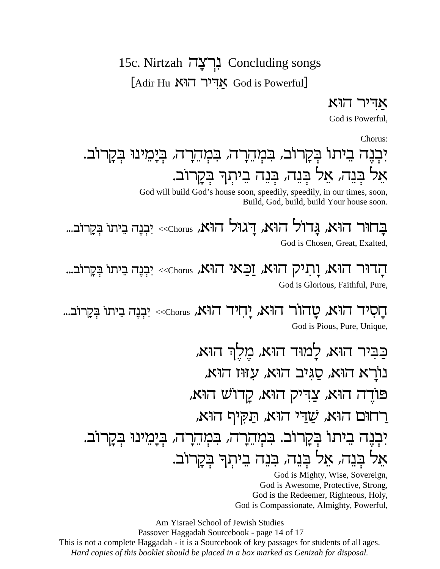#### 15c. Nirtzah בְרצַה Concluding songs

 $\lceil \text{Adir Hu }\right.$ אדיר הוא God is Powerful

אדיר הוא

God is Powerful.

Chorus:

## יִבְנֵה בֵיתוֹ בִקָרוֹב, בִּמְהֵרָה, בִּמְהֵרָה, בִּיָּמֵינוּ בִּקָרוֹב. אֵל בִּנֵה, אֵל בִּנֵה, בִּנֵה בֵיתִךְ בִקַרוֹב.

God will build God's house soon, speedily, speedily, in our times, soon, Build, God, build, build Your house soon.

בחור הוא, גדול הוא, דגול הוא, art ו-<</a> יִבְנֶה בִיתו בְּקָרוב... God is Chosen, Great, Exalted,

הדור הוא, ותיק הוא, וכאי הוא, chorus>> יִבְנֵה בֵיתו בְקַרוּב... God is Glorious, Faithful, Pure,

חֲסִיד הוּא, טַהוֹר הוּא, יַחִיד הוּא, are יִבְנֵה בֵיתוּ בִּקְרוּב... God is Pious, Pure, Unique,

כַבִּיר הוּא, לַמוּד הוּא, מֵלֵךְ הוּא, נורא הוא, סגיב הוא, עזוז הוא, פודה הוא, צדיק הוא, קדוש הוא, ַרחוּם הוּא, שַׁדִּי הוּא, תַקִּיף הוּא, יִבְנֵה בֵיתוֹ בִקַרוֹב. בִּמְהֶרַה, בִּמְהֶרָה, בִּיַמֵינוּ בִּקַרוֹב. אֵל בִּנֵה, אֵל בִּנֵה, בִּנֵה בֵיתִךְ בִּקַרוֹב.

God is Mighty, Wise, Sovereign. God is Awesome, Protective, Strong, God is the Redeemer, Righteous, Holy, God is Compassionate, Almighty, Powerful,

Am Yisrael School of Jewish Studies Passover Haggadah Sourcebook - page 14 of 17 This is not a complete Haggadah - it is a Sourcebook of key passages for students of all ages. Hard copies of this booklet should be placed in a box marked as Genizah for disposal.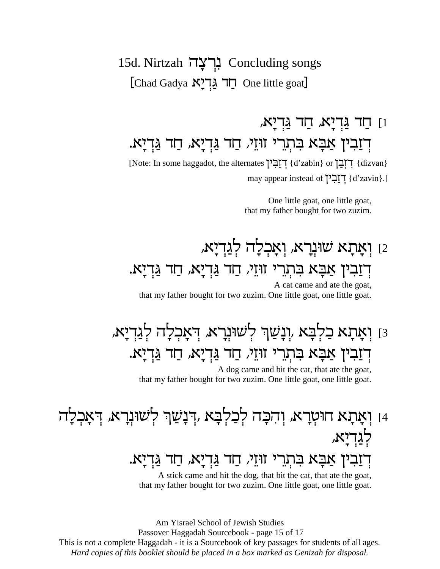#### 15d. Nirtzah נְרְצָה Concluding songs [Chad Gadya חֲד Arיָא One little goat]

#### ון חַד גַּדְיָא, חַד גַּדְיָא, דְזַבְין אַבָּא בִּתְרֵי זוּזֵי, חַד גַּדְיַא, חַד גַּדְיַא. [Note: In some haggadot, the alternates ['הֲבִין d'zabin} or ['הַבָן dizvan}

may appear instead of דְוַבְיֹן [d'zavin].]

One little goat, one little goat, that my father bought for two zuzim.

#### ן וְאָתָא שׁוּנְרָא, וְאָכְלָה לְגַדִיַא, <u>ִדְזַבִ</u>ין אַבָּא בִּתְרֵי זוּיֵי, חַד גַּדְיָא, חַד גַּדִיָּא. A cat came and ate the goat.

that my father bought for two zuzim. One little goat, one little goat.

## וַ וִאָתָא כַלִבָּא וִנָּשַׁךְ לְשׁוּנִרָא, דִאָכְלָה לְגַדְיָא, דְזַבְין אַבָּא בִּתְרֵי זוּזֵי, חַד גַּדְיַא, חַד גַּדְיַא.

A dog came and bit the cat, that ate the goat, that my father bought for two zuzim. One little goat, one little goat.

## 4] וִאֲתַא חוּטְרַא, וְהִכָּה לְכַלִבָּא ,דְנַשַׁן לְשׁוּנְרָא, דְאַכְלַה <u>לגדיא,</u>

### דִזַבִין אַבָּא בִּתְרֵי זוּזֵי, חַד גַּדְיָא, חַד גַּדְיָא.

A stick came and hit the dog, that bit the cat, that ate the goat, that my father bought for two zuzim. One little goat, one little goat.

Am Yisrael School of Jewish Studies

Passover Haggadah Sourcebook - page 15 of 17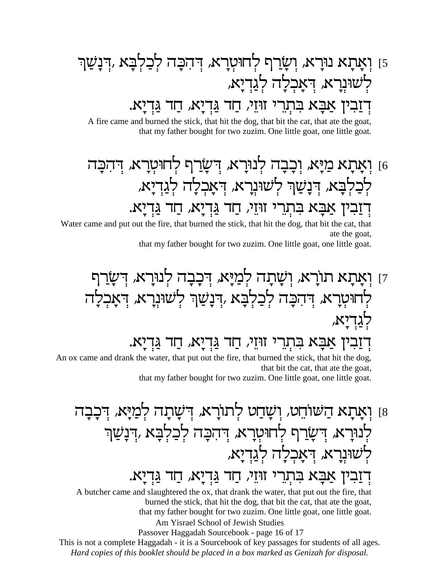זַ וְאָתָא נוּרָא, וְשַׂרַף לְחוּטְרָא, דִּהְכָּה לְכַלְבָּא ,דִּנָשַׁן לְשׁוּנִרָא, דִאַכִלַה לְגַדְיַא, דִזַבִין אַבָּא בִּתְרֵי זוּזֵי, חַד גַּדְיָא, חַד גַּדְיָא.

A fire came and burned the stick, that hit the dog, that bit the cat, that ate the goat, that my father bought for two zuzim. One little goat, one little goat.

### ן וְאָתָא מַיָּא, וִכָבָה לְנוּרָא, דִשַׂרַף לְחוּטְרָא, דִהְכָה b לְכַלְבַא, דְּנַשַׁךְ לְשׁוּנָרָא, דְּאַכְלַה לְגַדְיַא, דזבין אבא בתרי זוּזי, חד גדיא, חד גדיא.

Water came and put out the fire, that burned the stick, that hit the dog, that bit the cat, that ate the goat,

that my father bought for two zuzim. One little goat, one little goat.

## זן ואַתַא תורא, ושַתַה לְמַיַּא, דִכְבַה לְנוּרַא, דִשַׂרַף לחוּטִרַא, דְּהְבָה לְכַלְבָא ,דְנַשַׁןּ לְשׁוּנְרָא, דְּאַכְלַה לגדיא,

דִזַבִין אַבָּא בִּתְרֵי זוּזֵי, חַד גַּדְיַא, חַד גַּדְיַא.

An ox came and drank the water, that put out the fire, that burned the stick, that hit the dog, that bit the cat, that are the goat,

that my father bought for two zuzim. One little goat, one little goat.

# 8] וְאָתָא הַשׁוֹחֵט, וְשָׁחַט לְתוֹרָא, דִּשָׁתַה לְמַיַּא, דִּכְבַה לְנוּרַא, דְּשַׂרִף לְחוּטָרַא, דְּהְכָה לְכַלְבָּא ,דְנַשַׁן לְשׁוּנְרָא, דְאָכְלָה לְגַדְיָא, דִזַבִין אַבָּא בִּתְרֵי זוּזֵי, חַד גַּדְיָא, חַד גַּדְיָא.

A butcher came and slaughtered the ox, that drank the water, that put out the fire, that burned the stick, that hit the dog, that bit the cat, that ate the goat, that my father bought for two zuzim. One little goat, one little goat. Am Yisrael School of Jewish Studies

Passover Haggadah Sourcebook - page 16 of 17